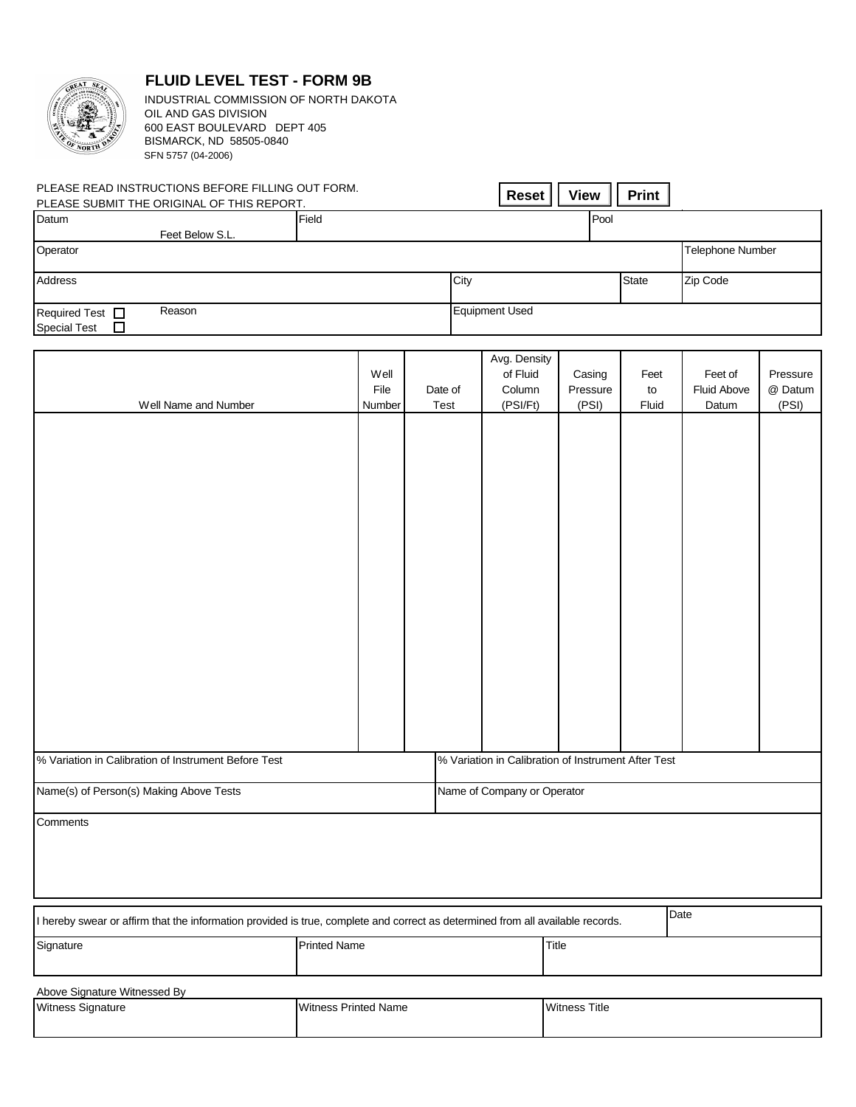

## **FLUID LEVEL TEST - FORM 9B**

BISMARCK, ND 58505-0840 SFN 5757 (04-2006) INDUSTRIAL COMMISSION OF NORTH DAKOTA OIL AND GAS DIVISION 600 EAST BOULEVARD DEPT 405

| SFN 5757 (04-2006)                                                                              |                        |                 |                                                     |                             |                     |                                        |                              |
|-------------------------------------------------------------------------------------------------|------------------------|-----------------|-----------------------------------------------------|-----------------------------|---------------------|----------------------------------------|------------------------------|
| PLEASE READ INSTRUCTIONS BEFORE FILLING OUT FORM.<br>PLEASE SUBMIT THE ORIGINAL OF THIS REPORT. |                        |                 | <b>Reset</b>                                        | <b>View</b>                 | <b>Print</b>        |                                        |                              |
| Datum<br>Feet Below S.L.                                                                        | Pool<br>Field          |                 |                                                     |                             |                     |                                        |                              |
| Operator                                                                                        |                        |                 |                                                     |                             |                     | Telephone Number                       |                              |
| Address                                                                                         |                        |                 | City                                                |                             | State               | Zip Code                               |                              |
| Required Test <sup>D</sup><br>Reason<br><b>Special Test</b><br>□                                |                        |                 | <b>Equipment Used</b>                               |                             |                     |                                        |                              |
| Well Name and Number                                                                            | Well<br>File<br>Number | Date of<br>Test | Avg. Density<br>of Fluid<br>Column<br>(PSI/Ft)      | Casing<br>Pressure<br>(PSI) | Feet<br>to<br>Fluid | Feet of<br><b>Fluid Above</b><br>Datum | Pressure<br>@ Datum<br>(PSI) |
|                                                                                                 |                        |                 |                                                     |                             |                     |                                        |                              |
|                                                                                                 |                        |                 |                                                     |                             |                     |                                        |                              |
|                                                                                                 |                        |                 |                                                     |                             |                     |                                        |                              |
|                                                                                                 |                        |                 |                                                     |                             |                     |                                        |                              |
|                                                                                                 |                        |                 |                                                     |                             |                     |                                        |                              |
|                                                                                                 |                        |                 |                                                     |                             |                     |                                        |                              |
|                                                                                                 |                        |                 |                                                     |                             |                     |                                        |                              |
|                                                                                                 |                        |                 |                                                     |                             |                     |                                        |                              |
| % Variation in Calibration of Instrument Before Test                                            |                        |                 | % Variation in Calibration of Instrument After Test |                             |                     |                                        |                              |
| Name(s) of Person(s) Making Above Tests                                                         |                        |                 | Name of Company or Operator                         |                             |                     |                                        |                              |
| Comments                                                                                        |                        |                 |                                                     |                             |                     |                                        |                              |
|                                                                                                 |                        |                 |                                                     |                             |                     |                                        |                              |

| I hereby swear or affirm that the information provided is true, complete and correct as determined from all available records. |                     |       |  |  |
|--------------------------------------------------------------------------------------------------------------------------------|---------------------|-------|--|--|
| Sianature                                                                                                                      | <b>Printed Name</b> | Title |  |  |

| Above Signature Witnessed By |                      |                      |  |  |  |  |
|------------------------------|----------------------|----------------------|--|--|--|--|
| Witness Signature            | Witness Printed Name | <b>Witness Title</b> |  |  |  |  |
|                              |                      |                      |  |  |  |  |